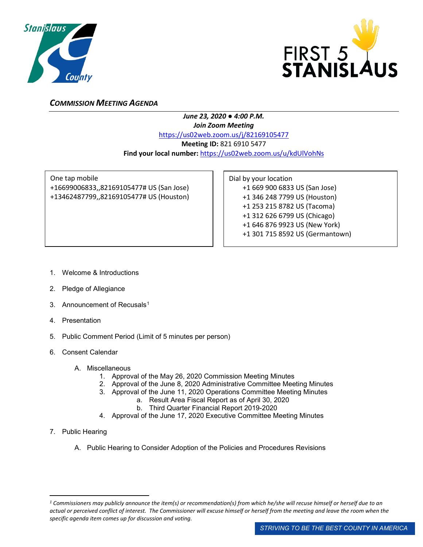



## *COMMISSION MEETING AGENDA*

## *June 23, 2020 ● 4:00 P.M. Join Zoom Meeting* <https://us02web.zoom.us/j/82169105477> **Meeting ID:** 821 6910 5477 **Find your local number:** <https://us02web.zoom.us/u/kdUlVohNs>

One tap mobile +16699006833,,82169105477# US (San Jose) +13462487799,,82169105477# US (Houston) Dial by your location +1 669 900 6833 US (San Jose) +1 346 248 7799 US (Houston) +1 253 215 8782 US (Tacoma) +1 312 626 6799 US (Chicago) +1 646 876 9923 US (New York) +1 301 715 8592 US (Germantown)

- 1. Welcome & Introductions
- 2. Pledge of Allegiance
- 3. Announcement of Recusals<sup>[1](#page-0-0)</sup>
- 4. Presentation
- 5. Public Comment Period (Limit of 5 minutes per person)
- 6. Consent Calendar
	- A. Miscellaneous
		- 1. Approval of the May 26, 2020 Commission Meeting Minutes
		- 2. Approval of the June 8, 2020 Administrative Committee Meeting Minutes
		- 3. Approval of the June 11, 2020 Operations Committee Meeting Minutes
			- a. Result Area Fiscal Report as of April 30, 2020
			- b. Third Quarter Financial Report 2019-2020
		- 4. Approval of the June 17, 2020 Executive Committee Meeting Minutes
- 7. Public Hearing

 $\overline{a}$ 

A. Public Hearing to Consider Adoption of the Policies and Procedures Revisions

<span id="page-0-0"></span>*<sup>1</sup> Commissioners may publicly announce the item(s) or recommendation(s) from which he/she will recuse himself or herself due to an actual or perceived conflict of interest. The Commissioner will excuse himself or herself from the meeting and leave the room when the specific agenda item comes up for discussion and voting.*